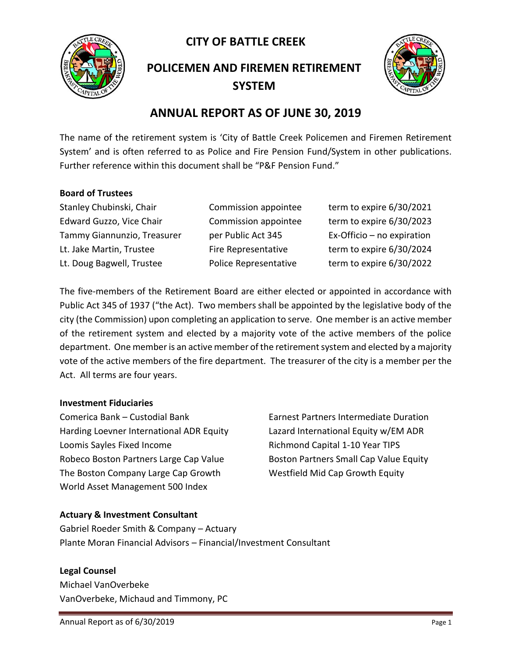**CITY OF BATTLE CREEK** 



**POLICEMEN AND FIREMEN RETIREMENT SYSTEM**



# **ANNUAL REPORT AS OF JUNE 30, 2019**

The name of the retirement system is 'City of Battle Creek Policemen and Firemen Retirement System' and is often referred to as Police and Fire Pension Fund/System in other publications. Further reference within this document shall be "P&F Pension Fund."

#### **Board of Trustees**

Stanley Chubinski, Chair Commission appointee term to expire 6/30/2021 Edward Guzzo, Vice Chair Commission appointee term to expire 6/30/2023 Tammy Giannunzio, Treasurer per Public Act 345 Ex-Officio – no expiration Lt. Jake Martin, Trustee Fire Representative term to expire 6/30/2024 Lt. Doug Bagwell, Trustee Police Representative term to expire 6/30/2022

The five-members of the Retirement Board are either elected or appointed in accordance with Public Act 345 of 1937 ("the Act). Two members shall be appointed by the legislative body of the city (the Commission) upon completing an application to serve. One member is an active member of the retirement system and elected by a majority vote of the active members of the police department. One member is an active member of the retirement system and elected by a majority vote of the active members of the fire department. The treasurer of the city is a member per the Act. All terms are four years.

#### **Investment Fiduciaries**

Comerica Bank – Custodial Bank Earnest Partners Intermediate Duration Harding Loevner International ADR Equity Lazard International Equity w/EM ADR Loomis Sayles Fixed Income The Richmond Capital 1-10 Year TIPS Robeco Boston Partners Large Cap Value Boston Partners Small Cap Value Equity The Boston Company Large Cap Growth Westfield Mid Cap Growth Equity World Asset Management 500 Index

### **Actuary & Investment Consultant**

Gabriel Roeder Smith & Company – Actuary Plante Moran Financial Advisors – Financial/Investment Consultant

#### **Legal Counsel**

Michael VanOverbeke VanOverbeke, Michaud and Timmony, PC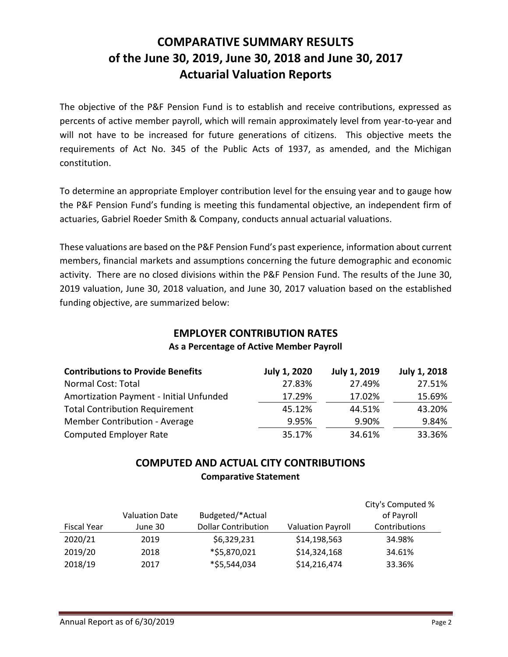# **COMPARATIVE SUMMARY RESULTS of the June 30, 2019, June 30, 2018 and June 30, 2017 Actuarial Valuation Reports**

The objective of the P&F Pension Fund is to establish and receive contributions, expressed as percents of active member payroll, which will remain approximately level from year-to-year and will not have to be increased for future generations of citizens. This objective meets the requirements of Act No. 345 of the Public Acts of 1937, as amended, and the Michigan constitution.

To determine an appropriate Employer contribution level for the ensuing year and to gauge how the P&F Pension Fund's funding is meeting this fundamental objective, an independent firm of actuaries, Gabriel Roeder Smith & Company, conducts annual actuarial valuations.

These valuations are based on the P&F Pension Fund's past experience, information about current members, financial markets and assumptions concerning the future demographic and economic activity. There are no closed divisions within the P&F Pension Fund. The results of the June 30, 2019 valuation, June 30, 2018 valuation, and June 30, 2017 valuation based on the established funding objective, are summarized below:

#### **EMPLOYER CONTRIBUTION RATES As a Percentage of Active Member Payroll**

| <b>Contributions to Provide Benefits</b> | July 1, 2020 | <b>July 1, 2019</b> | July 1, 2018 |
|------------------------------------------|--------------|---------------------|--------------|
| Normal Cost: Total                       | 27.83%       | 27.49%              | 27.51%       |
| Amortization Payment - Initial Unfunded  | 17.29%       | 17.02%              | 15.69%       |
| <b>Total Contribution Requirement</b>    | 45.12%       | 44.51%              | 43.20%       |
| Member Contribution - Average            | 9.95%        | 9.90%               | 9.84%        |
| <b>Computed Employer Rate</b>            | 35.17%       | 34.61%              | 33.36%       |

# **COMPUTED AND ACTUAL CITY CONTRIBUTIONS Comparative Statement**

|                    | <b>Valuation Date</b> | Budgeted/*Actual           |                          | City's Computed %<br>of Payroll |
|--------------------|-----------------------|----------------------------|--------------------------|---------------------------------|
| <b>Fiscal Year</b> | June 30               | <b>Dollar Contribution</b> | <b>Valuation Payroll</b> | Contributions                   |
| 2020/21            | 2019                  | \$6,329,231                | \$14,198,563             | 34.98%                          |
| 2019/20            | 2018                  | *\$5,870,021               | \$14,324,168             | 34.61%                          |
| 2018/19            | 2017                  | *\$5,544,034               | \$14,216,474             | 33.36%                          |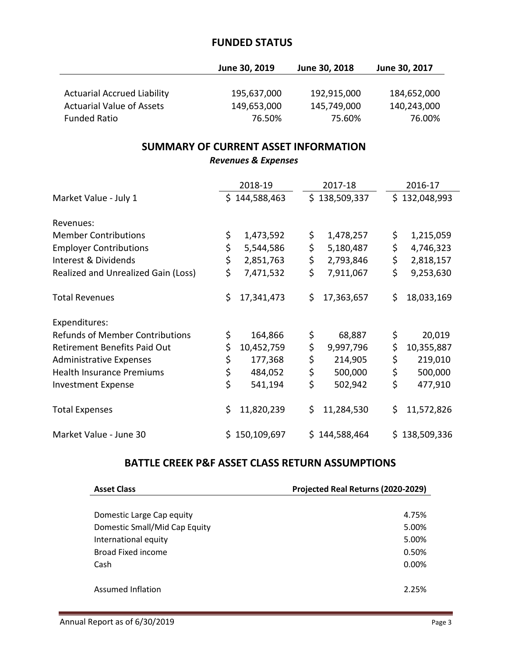## **FUNDED STATUS**

|                                    | June 30, 2019 | June 30, 2018 | June 30, 2017 |
|------------------------------------|---------------|---------------|---------------|
|                                    |               |               |               |
| <b>Actuarial Accrued Liability</b> | 195,637,000   | 192,915,000   | 184,652,000   |
| <b>Actuarial Value of Assets</b>   | 149,653,000   | 145,749,000   | 140,243,000   |
| <b>Funded Ratio</b>                | 76.50%        | 75.60%        | 76.00%        |

# **SUMMARY OF CURRENT ASSET INFORMATION**

*Revenues & Expenses*

|                                        | 2018-19          | 2017-18          | 2016-17          |
|----------------------------------------|------------------|------------------|------------------|
| Market Value - July 1                  | \$144,588,463    | \$138,509,337    | \$132,048,993    |
|                                        |                  |                  |                  |
| Revenues:                              |                  |                  |                  |
| <b>Member Contributions</b>            | \$<br>1,473,592  | \$<br>1,478,257  | \$<br>1,215,059  |
| <b>Employer Contributions</b>          | \$<br>5,544,586  | \$<br>5,180,487  | \$<br>4,746,323  |
| Interest & Dividends                   | \$<br>2,851,763  | \$<br>2,793,846  | \$<br>2,818,157  |
| Realized and Unrealized Gain (Loss)    | \$<br>7,471,532  | \$<br>7,911,067  | \$<br>9,253,630  |
| <b>Total Revenues</b>                  | \$<br>17,341,473 | \$<br>17,363,657 | \$<br>18,033,169 |
| Expenditures:                          |                  |                  |                  |
| <b>Refunds of Member Contributions</b> | \$<br>164,866    | \$<br>68,887     | \$<br>20,019     |
| <b>Retirement Benefits Paid Out</b>    | \$<br>10,452,759 | \$<br>9,997,796  | \$<br>10,355,887 |
| <b>Administrative Expenses</b>         | \$<br>177,368    | \$<br>214,905    | \$<br>219,010    |
| <b>Health Insurance Premiums</b>       | \$<br>484,052    | \$<br>500,000    | \$<br>500,000    |
| <b>Investment Expense</b>              | \$<br>541,194    | \$<br>502,942    | \$<br>477,910    |
| <b>Total Expenses</b>                  | \$<br>11,820,239 | \$<br>11,284,530 | \$<br>11,572,826 |
| Market Value - June 30                 | \$150,109,697    | \$144,588,464    | \$138,509,336    |

## **BATTLE CREEK P&F ASSET CLASS RETURN ASSUMPTIONS**

| <b>Asset Class</b>            | Projected Real Returns (2020-2029) |
|-------------------------------|------------------------------------|
|                               |                                    |
| Domestic Large Cap equity     | 4.75%                              |
| Domestic Small/Mid Cap Equity | 5.00%                              |
| International equity          | 5.00%                              |
| Broad Fixed income            | 0.50%                              |
| Cash                          | $0.00\%$                           |
|                               |                                    |
| Assumed Inflation             | 2.25%                              |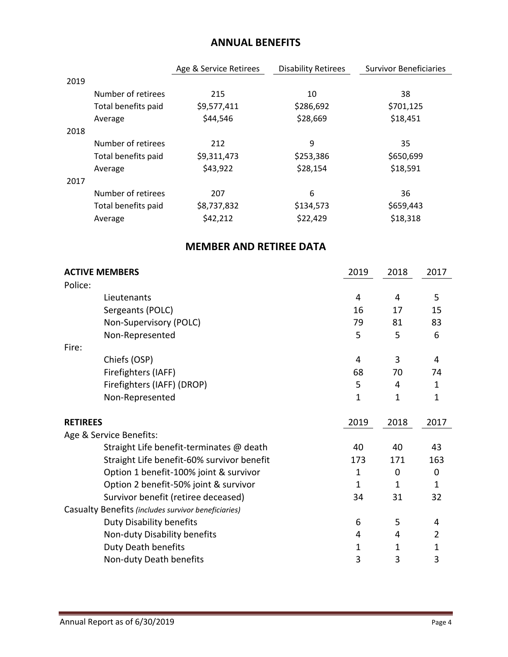# **ANNUAL BENEFITS**

|      |                     | Age & Service Retirees | <b>Disability Retirees</b> | <b>Survivor Beneficiaries</b> |
|------|---------------------|------------------------|----------------------------|-------------------------------|
| 2019 |                     |                        |                            |                               |
|      | Number of retirees  | 215                    | 10                         | 38                            |
|      | Total benefits paid | \$9,577,411            | \$286,692                  | \$701,125                     |
|      | Average             | \$44,546               | \$28,669                   | \$18,451                      |
| 2018 |                     |                        |                            |                               |
|      | Number of retirees  | 212                    | 9                          | 35                            |
|      | Total benefits paid | \$9,311,473            | \$253,386                  | \$650,699                     |
|      | Average             | \$43,922               | \$28,154                   | \$18,591                      |
| 2017 |                     |                        |                            |                               |
|      | Number of retirees  | 207                    | 6                          | 36                            |
|      | Total benefits paid | \$8,737,832            | \$134,573                  | \$659,443                     |
|      | Average             | \$42,212               | \$22,429                   | \$18,318                      |

# **MEMBER AND RETIREE DATA**

| <b>ACTIVE MEMBERS</b>   |                                                     | 2019         | 2018 | 2017 |
|-------------------------|-----------------------------------------------------|--------------|------|------|
| Police:                 |                                                     |              |      |      |
|                         | Lieutenants                                         | 4            | 4    | 5    |
|                         | Sergeants (POLC)                                    | 16           | 17   | 15   |
|                         | Non-Supervisory (POLC)                              | 79           | 81   | 83   |
|                         | Non-Represented                                     | 5            | 5    | 6    |
| Fire:                   |                                                     |              |      |      |
|                         | Chiefs (OSP)                                        | 4            | 3    | 4    |
|                         | Firefighters (IAFF)                                 | 68           | 70   | 74   |
|                         | Firefighters (IAFF) (DROP)                          | 5            | 4    | 1    |
|                         | Non-Represented                                     | 1            | 1    | 1    |
| <b>RETIREES</b>         |                                                     | 2019         | 2018 | 2017 |
| Age & Service Benefits: |                                                     |              |      |      |
|                         | Straight Life benefit-terminates @ death            | 40           | 40   | 43   |
|                         | Straight Life benefit-60% survivor benefit          | 173          | 171  | 163  |
|                         | Option 1 benefit-100% joint & survivor              | 1            | 0    | 0    |
|                         | Option 2 benefit-50% joint & survivor               | $\mathbf{1}$ | 1    | 1    |
|                         | Survivor benefit (retiree deceased)                 | 34           | 31   | 32   |
|                         | Casualty Benefits (includes survivor beneficiaries) |              |      |      |
|                         | <b>Duty Disability benefits</b>                     | 6            | 5    | 4    |
|                         | Non-duty Disability benefits                        | 4            | 4    | 2    |
|                         | <b>Duty Death benefits</b>                          | 1            | 1    | 1    |
|                         | Non-duty Death benefits                             | 3            | 3    | 3    |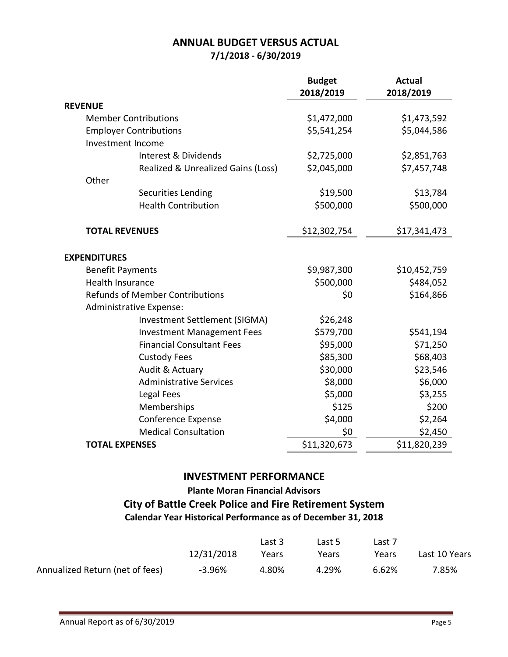# **ANNUAL BUDGET VERSUS ACTUAL 7/1/2018 - 6/30/2019**

|                                        |                                    | <b>Budget</b><br>2018/2019 | <b>Actual</b><br>2018/2019 |
|----------------------------------------|------------------------------------|----------------------------|----------------------------|
| <b>REVENUE</b>                         |                                    |                            |                            |
|                                        | <b>Member Contributions</b>        | \$1,472,000                | \$1,473,592                |
|                                        | <b>Employer Contributions</b>      | \$5,541,254                | \$5,044,586                |
|                                        | Investment Income                  |                            |                            |
|                                        | Interest & Dividends               | \$2,725,000                | \$2,851,763                |
|                                        | Realized & Unrealized Gains (Loss) | \$2,045,000                | \$7,457,748                |
| Other                                  |                                    |                            |                            |
|                                        | Securities Lending                 | \$19,500                   | \$13,784                   |
|                                        | <b>Health Contribution</b>         | \$500,000                  | \$500,000                  |
| <b>TOTAL REVENUES</b>                  |                                    | \$12,302,754               | \$17,341,473               |
| <b>EXPENDITURES</b>                    |                                    |                            |                            |
| <b>Benefit Payments</b>                |                                    | \$9,987,300                | \$10,452,759               |
| <b>Health Insurance</b>                |                                    | \$500,000                  | \$484,052                  |
| <b>Refunds of Member Contributions</b> |                                    | \$0                        | \$164,866                  |
|                                        | Administrative Expense:            |                            |                            |
|                                        | Investment Settlement (SIGMA)      | \$26,248                   |                            |
|                                        | <b>Investment Management Fees</b>  | \$579,700                  | \$541,194                  |
|                                        | <b>Financial Consultant Fees</b>   | \$95,000                   | \$71,250                   |
|                                        | <b>Custody Fees</b>                | \$85,300                   | \$68,403                   |
|                                        | Audit & Actuary                    | \$30,000                   | \$23,546                   |
|                                        | <b>Administrative Services</b>     | \$8,000                    | \$6,000                    |
|                                        | Legal Fees                         | \$5,000                    | \$3,255                    |
|                                        | Memberships                        | \$125                      | \$200                      |
|                                        | Conference Expense                 | \$4,000                    | \$2,264                    |
|                                        | <b>Medical Consultation</b>        | \$0                        | \$2,450                    |
| <b>TOTAL EXPENSES</b>                  |                                    | \$11,320,673               | \$11,820,239               |

### **INVESTMENT PERFORMANCE**

## **Plante Moran Financial Advisors City of Battle Creek Police and Fire Retirement System Calendar Year Historical Performance as of December 31, 2018**

|                                 |            | Last 3 | Last 5 | Last 7 |               |
|---------------------------------|------------|--------|--------|--------|---------------|
|                                 | 12/31/2018 | Years  | Years  | Years  | Last 10 Years |
| Annualized Return (net of fees) | $-3.96%$   | 4.80%  | 4.29%  | 6.62%  | 7.85%         |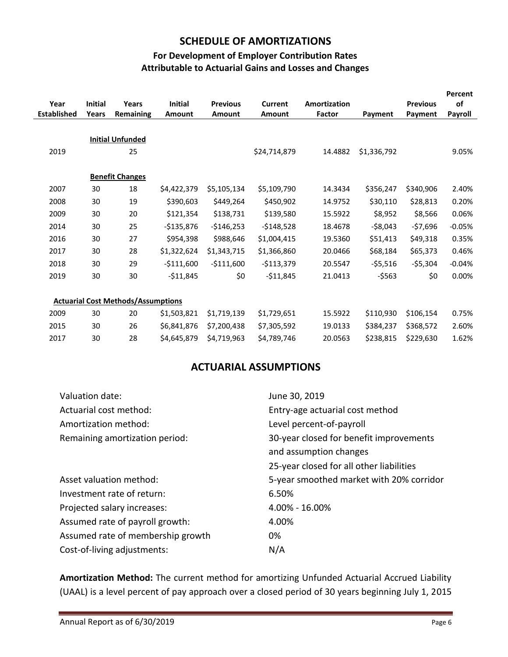#### **SCHEDULE OF AMORTIZATIONS**

### **For Development of Employer Contribution Rates Attributable to Actuarial Gains and Losses and Changes**

| Year<br><b>Established</b> | <b>Initial</b><br>Years | Years<br>Remaining                        | <b>Initial</b><br><b>Amount</b> | <b>Previous</b><br><b>Amount</b> | <b>Current</b><br>Amount | <b>Amortization</b><br>Factor | Payment     | <b>Previous</b><br>Payment | Percent<br>of<br>Payroll |
|----------------------------|-------------------------|-------------------------------------------|---------------------------------|----------------------------------|--------------------------|-------------------------------|-------------|----------------------------|--------------------------|
|                            |                         |                                           |                                 |                                  |                          |                               |             |                            |                          |
|                            |                         | <b>Initial Unfunded</b>                   |                                 |                                  |                          |                               |             |                            |                          |
| 2019                       |                         | 25                                        |                                 |                                  | \$24,714,879             | 14.4882                       | \$1,336,792 |                            | 9.05%                    |
|                            |                         |                                           |                                 |                                  |                          |                               |             |                            |                          |
|                            |                         | <b>Benefit Changes</b>                    |                                 |                                  |                          |                               |             |                            |                          |
| 2007                       | 30                      | 18                                        | \$4,422,379                     | \$5,105,134                      | \$5,109,790              | 14.3434                       | \$356,247   | \$340,906                  | 2.40%                    |
| 2008                       | 30                      | 19                                        | \$390,603                       | \$449,264                        | \$450,902                | 14.9752                       | \$30,110    | \$28,813                   | 0.20%                    |
| 2009                       | 30                      | 20                                        | \$121,354                       | \$138,731                        | \$139,580                | 15.5922                       | \$8,952     | \$8,566                    | 0.06%                    |
| 2014                       | 30                      | 25                                        | $-$135,876$                     | $-$146,253$                      | $-$148,528$              | 18.4678                       | $-$8,043$   | $-57,696$                  | $-0.05%$                 |
| 2016                       | 30                      | 27                                        | \$954,398                       | \$988,646                        | \$1,004,415              | 19.5360                       | \$51,413    | \$49,318                   | 0.35%                    |
| 2017                       | 30                      | 28                                        | \$1,322,624                     | \$1,343,715                      | \$1,366,860              | 20.0466                       | \$68,184    | \$65,373                   | 0.46%                    |
| 2018                       | 30                      | 29                                        | $-$111,600$                     | $-$111,600$                      | $-$113,379$              | 20.5547                       | $-55,516$   | $-55,304$                  | $-0.04%$                 |
| 2019                       | 30                      | 30                                        | $-511,845$                      | \$0                              | $-511,845$               | 21.0413                       | $-$ \$563   | \$0                        | 0.00%                    |
|                            |                         |                                           |                                 |                                  |                          |                               |             |                            |                          |
|                            |                         | <b>Actuarial Cost Methods/Assumptions</b> |                                 |                                  |                          |                               |             |                            |                          |
| 2009                       | 30                      | 20                                        | \$1,503,821                     | \$1,719,139                      | \$1,729,651              | 15.5922                       | \$110,930   | \$106,154                  | 0.75%                    |
| 2015                       | 30                      | 26                                        | \$6,841,876                     | \$7,200,438                      | \$7,305,592              | 19.0133                       | \$384,237   | \$368,572                  | 2.60%                    |
| 2017                       | 30                      | 28                                        | \$4,645,879                     | \$4,719,963                      | \$4,789,746              | 20.0563                       | \$238,815   | \$229,630                  | 1.62%                    |

### **ACTUARIAL ASSUMPTIONS**

| Valuation date:                   | June 30, 2019                            |
|-----------------------------------|------------------------------------------|
| Actuarial cost method:            | Entry-age actuarial cost method          |
| Amortization method:              | Level percent-of-payroll                 |
| Remaining amortization period:    | 30-year closed for benefit improvements  |
|                                   | and assumption changes                   |
|                                   | 25-year closed for all other liabilities |
| Asset valuation method:           | 5-year smoothed market with 20% corridor |
| Investment rate of return:        | 6.50%                                    |
| Projected salary increases:       | 4.00% - 16.00%                           |
| Assumed rate of payroll growth:   | 4.00%                                    |
| Assumed rate of membership growth | 0%                                       |
|                                   |                                          |

**Amortization Method:** The current method for amortizing Unfunded Actuarial Accrued Liability (UAAL) is a level percent of pay approach over a closed period of 30 years beginning July 1, 2015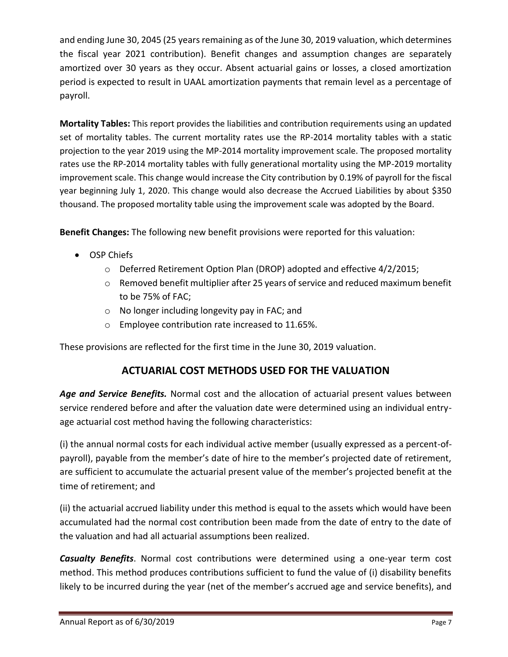and ending June 30, 2045 (25 years remaining as of the June 30, 2019 valuation, which determines the fiscal year 2021 contribution). Benefit changes and assumption changes are separately amortized over 30 years as they occur. Absent actuarial gains or losses, a closed amortization period is expected to result in UAAL amortization payments that remain level as a percentage of payroll.

**Mortality Tables:** This report provides the liabilities and contribution requirements using an updated set of mortality tables. The current mortality rates use the RP-2014 mortality tables with a static projection to the year 2019 using the MP-2014 mortality improvement scale. The proposed mortality rates use the RP-2014 mortality tables with fully generational mortality using the MP-2019 mortality improvement scale. This change would increase the City contribution by 0.19% of payroll for the fiscal year beginning July 1, 2020. This change would also decrease the Accrued Liabilities by about \$350 thousand. The proposed mortality table using the improvement scale was adopted by the Board.

**Benefit Changes:** The following new benefit provisions were reported for this valuation:

- OSP Chiefs
	- o Deferred Retirement Option Plan (DROP) adopted and effective 4/2/2015;
	- o Removed benefit multiplier after 25 years of service and reduced maximum benefit to be 75% of FAC;
	- o No longer including longevity pay in FAC; and
	- o Employee contribution rate increased to 11.65%.

These provisions are reflected for the first time in the June 30, 2019 valuation.

### **ACTUARIAL COST METHODS USED FOR THE VALUATION**

*Age and Service Benefits.* Normal cost and the allocation of actuarial present values between service rendered before and after the valuation date were determined using an individual entryage actuarial cost method having the following characteristics:

(i) the annual normal costs for each individual active member (usually expressed as a percent-ofpayroll), payable from the member's date of hire to the member's projected date of retirement, are sufficient to accumulate the actuarial present value of the member's projected benefit at the time of retirement; and

(ii) the actuarial accrued liability under this method is equal to the assets which would have been accumulated had the normal cost contribution been made from the date of entry to the date of the valuation and had all actuarial assumptions been realized.

*Casualty Benefits*. Normal cost contributions were determined using a one-year term cost method. This method produces contributions sufficient to fund the value of (i) disability benefits likely to be incurred during the year (net of the member's accrued age and service benefits), and